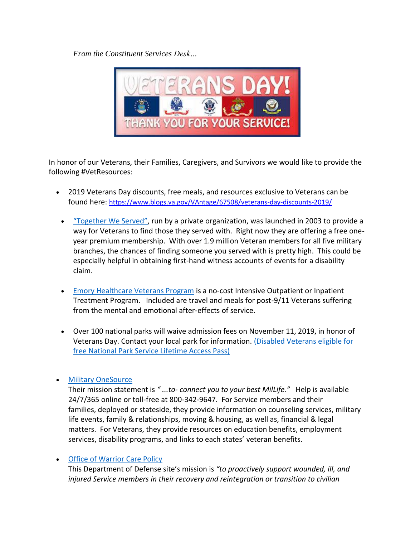*From the Constituent Services Desk…*



In honor of our Veterans, their Families, Caregivers, and Survivors we would like to provide the following #VetResources:

- 2019 Veterans Day discounts, free meals, and resources exclusive to Veterans can be found here: <https://www.blogs.va.gov/VAntage/67508/veterans-day-discounts-2019/>
	- ["Together We Served"](https://www.togetherweserved.com/), run by a private organization, was launched in 2003 to provide a way for Veterans to find those they served with. Right now they are offering a free oneyear premium membership. With over 1.9 million Veteran members for all five military branches, the chances of finding someone you served with is pretty high. This could be especially helpful in obtaining first-hand witness accounts of events for a disability claim.
	- [Emory Healthcare Veterans Program](https://www.emoryhealthcare.org/centers-programs/veterans-program/index.html) is a no-cost Intensive Outpatient or Inpatient Treatment Program. Included are travel and meals for post-9/11 Veterans suffering from the mental and emotional after-effects of service.
	- Over 100 national parks will waive admission fees on November 11, 2019, in honor of Veterans Day. Contact your local park for information. [\(Disabled Veterans eligible for](https://www.blogs.va.gov/VAntage/60590/disabled-veterans-eligible-free-national-park-service-lifetime-access-pass/)  [free National Park Service Lifetime Access Pass\)](https://www.blogs.va.gov/VAntage/60590/disabled-veterans-eligible-free-national-park-service-lifetime-access-pass/)

## • [Military OneSource](https://www.militaryonesource.mil/)

Their mission statement is *" ...to- connect you to your best MilLife."* Help is available 24/7/365 online or toll-free at 800-342-9647. For Service members and their families, deployed or stateside, they provide information on counseling services, military life events, family & relationships, moving & housing, as well as, financial & legal matters. For Veterans, they provide resources on education benefits, employment services, disability programs, and links to each states' veteran benefits.

## • [Office of Warrior Care Policy](https://warriorcare.dodlive.mil/about/)

This Department of Defense site's mission is *"to proactively support wounded, ill, and injured Service members in their recovery and reintegration or transition to civilian*